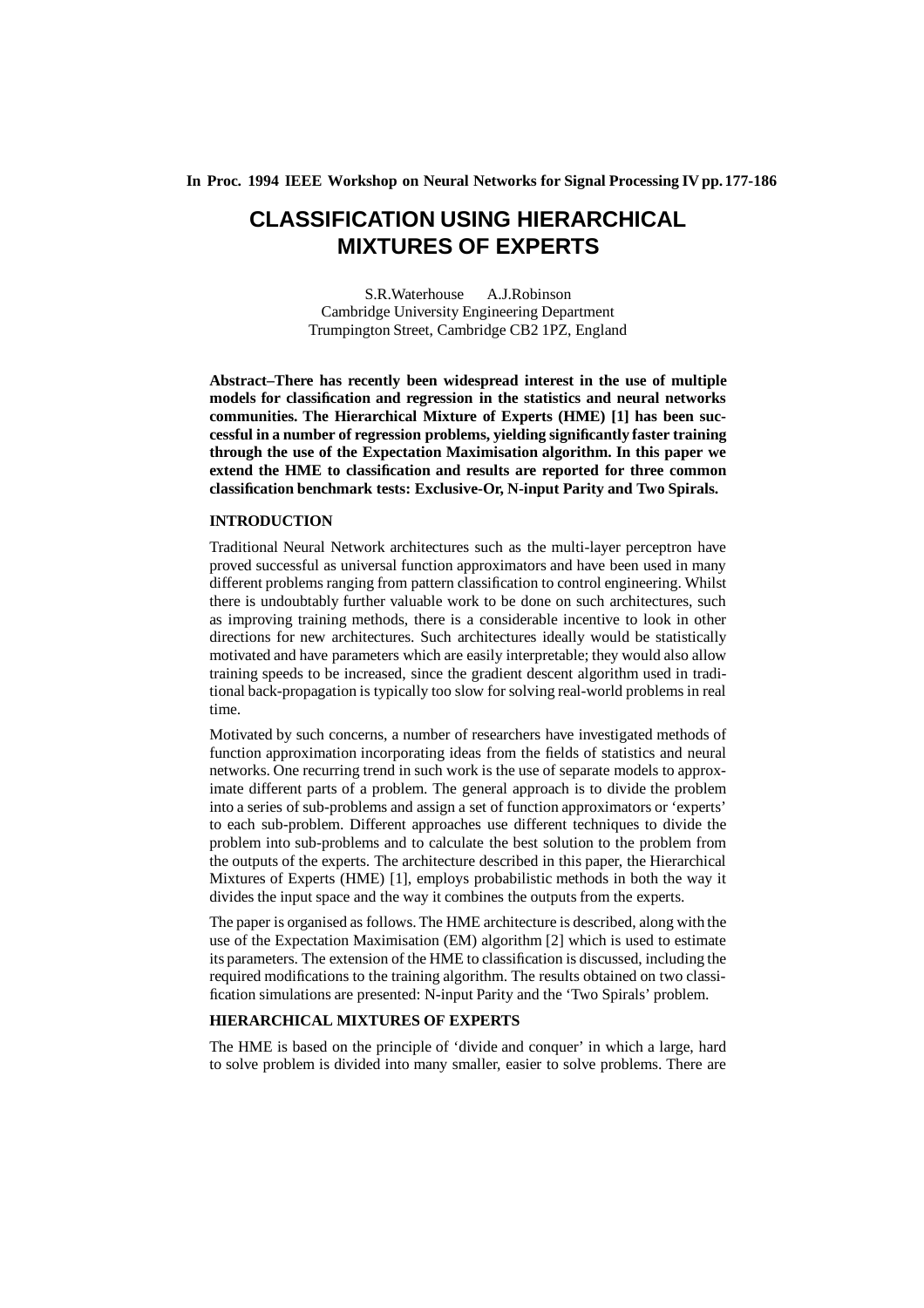**In Proc. 1994 IEEE Workshop on Neural Networks for Signal Processing IV pp. 177-186**

# **CLASSIFICATION USING HIERARCHICAL MIXTURES OF EXPERTS**

S.R.Waterhouse A.J.Robinson Cambridge University Engineering Department Trumpington Street, Cambridge CB2 1PZ, England

**Abstract–There has recently been widespread interest in the use of multiple models for classification and regression in the statistics and neural networks communities. The Hierarchical Mixture of Experts (HME) [1] has been successful in a number of regression problems, yielding significantly faster training through the use of the Expectation Maximisation algorithm. In this paper we extend the HME to classification and results are reported for three common classification benchmark tests: Exclusive-Or, N-input Parity and Two Spirals.**

## **INTRODUCTION**

Traditional Neural Network architectures such as the multi-layer perceptron have proved successful as universal function approximators and have been used in many different problems ranging from pattern classification to control engineering. Whilst there is undoubtably further valuable work to be done on such architectures, such as improving training methods, there is a considerable incentive to look in other directions for new architectures. Such architectures ideally would be statistically motivated and have parameters which are easily interpretable; they would also allow training speeds to be increased, since the gradient descent algorithm used in traditional back-propagation is typically too slow for solving real-world problems in real time.

Motivated by such concerns, a number of researchers have investigated methods of function approximation incorporating ideas from the fields of statistics and neural networks. One recurring trend in such work is the use of separate models to approximate different parts of a problem. The general approach is to divide the problem into a series of sub-problems and assign a set of function approximators or 'experts' to each sub-problem. Different approaches use different techniques to divide the problem into sub-problems and to calculate the best solution to the problem from the outputs of the experts. The architecture described in this paper, the Hierarchical Mixtures of Experts (HME) [1], employs probabilistic methods in both the way it divides the input space and the way it combines the outputs from the experts.

The paper is organised as follows. The HME architecture is described, along with the use of the Expectation Maximisation (EM) algorithm [2] which is used to estimate its parameters. The extension of the HME to classification is discussed, including the required modifications to the training algorithm. The results obtained on two classification simulations are presented: N-input Parity and the 'Two Spirals' problem.

# **HIERARCHICAL MIXTURES OF EXPERTS**

The HME is based on the principle of 'divide and conquer' in which a large, hard to solve problem is divided into many smaller, easier to solve problems. There are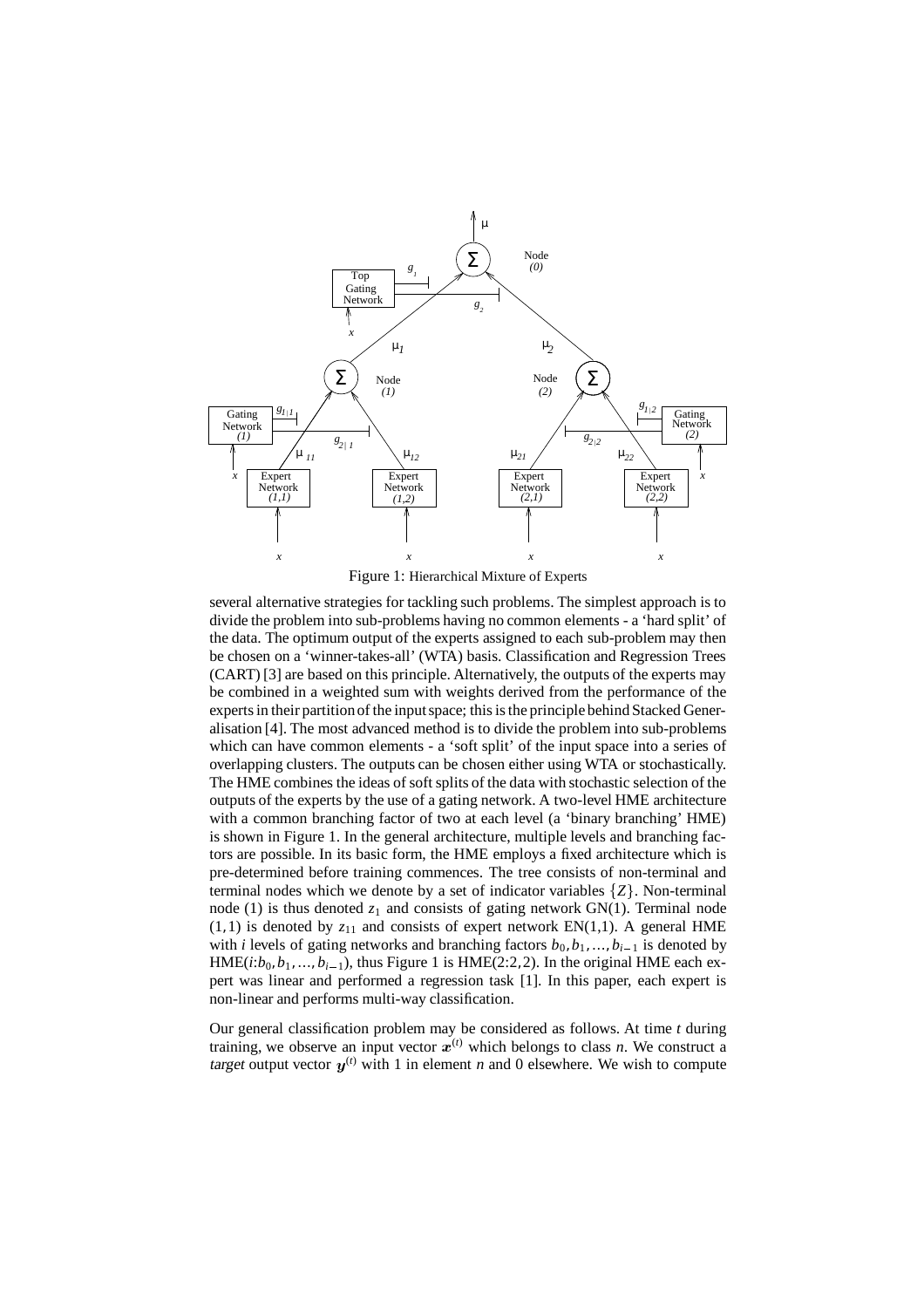

Figure 1: Hierarchical Mixture of Experts

several alternative strategies for tackling such problems. The simplest approach is to divide the problem into sub-problems having no common elements - a 'hard split' of the data. The optimum output of the experts assigned to each sub-problem may then be chosen on a 'winner-takes-all' (WTA) basis. Classification and Regression Trees (CART) [3] are based on this principle. Alternatively, the outputs of the experts may be combined in a weighted sum with weights derived from the performance of the experts in their partition of the input space; this is the principle behind Stacked Generalisation [4]. The most advanced method is to divide the problem into sub-problems which can have common elements - a 'soft split' of the input space into a series of overlapping clusters. The outputs can be chosen either using WTA or stochastically. The HME combines the ideas of soft splits of the data with stochastic selection of the outputs of the experts by the use of a gating network. A two-level HME architecture with a common branching factor of two at each level (a 'binary branching' HME) is shown in Figure 1. In the general architecture, multiple levels and branching factors are possible. In its basic form, the HME employs a fixed architecture which is pre-determined before training commences. The tree consists of non-terminal and terminal nodes which we denote by a set of indicator variables  $\{Z\}$ . Non-terminal node (1) is thus denoted  $z_1$  and consists of gating network GN(1). Terminal node  $(1, 1)$  is denoted by  $z_{11}$  and consists of expert network EN $(1, 1)$ . A general HME with *i* levels of gating networks and branching factors  $b_0, b_1, ..., b_{i-1}$  is denoted by  $HME(i:b_0, b_1, ..., b_{i-1})$ , thus Figure 1 is  $HME(2:2, 2)$ . In the original HME each expert was linear and performed a regression task [1]. In this paper, each expert is non-linear and performs multi-way classification.

Our general classification problem may be considered as follows. At time *t* during training, we observe an input vector  $x^{(t)}$  which belongs to class *n*. We construct a target output vector  $y^{(t)}$  with 1 in element *n* and 0 elsewhere. We wish to compute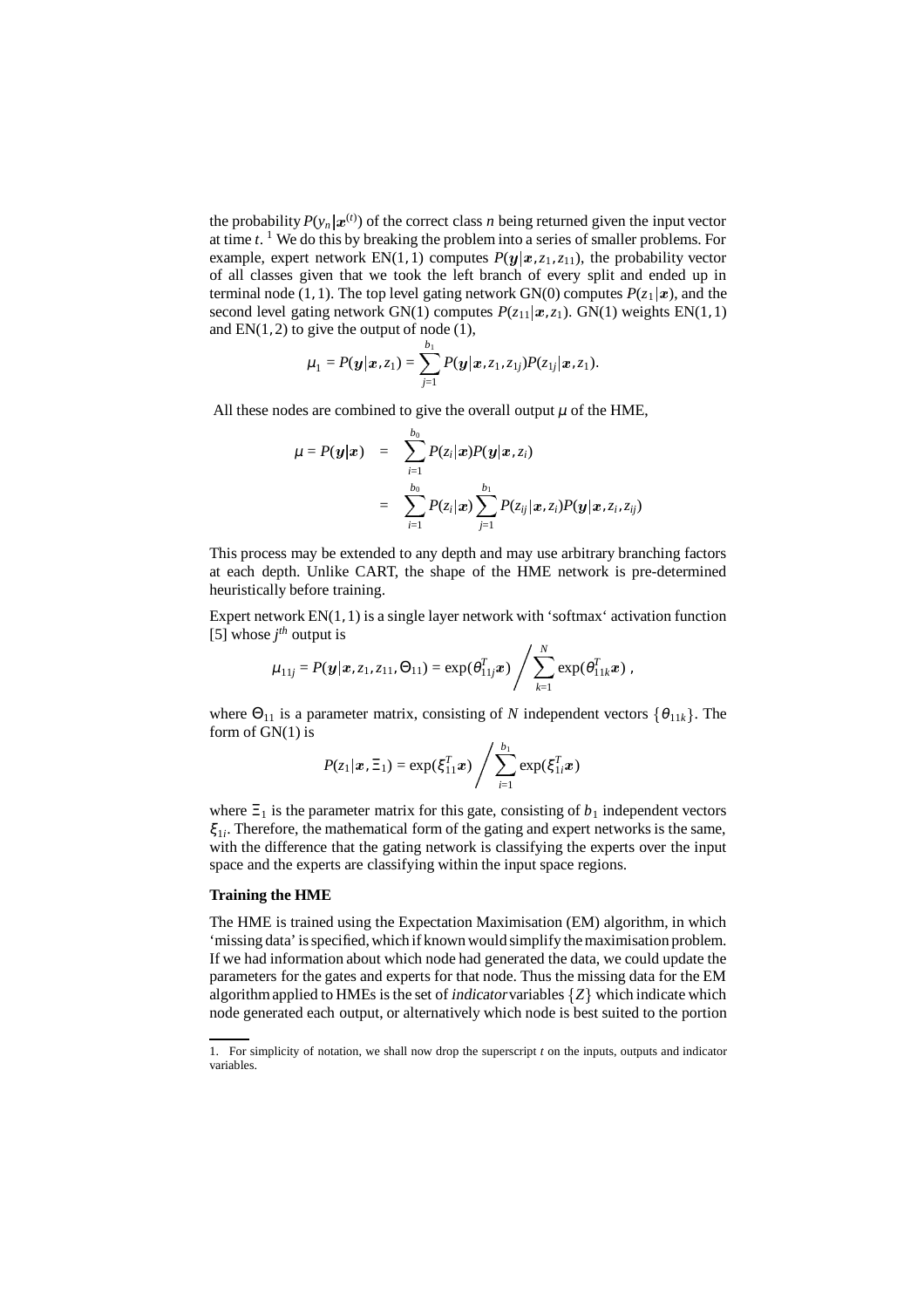the probability  $P(y_n | x^{(t)})$  of the correct class *n* being returned given the input vector at time *t*. <sup>1</sup> We do this by breaking the problem into a series of smaller problems. For example, expert network  $EN(1, 1)$  computes  $P(y | x, z_1, z_1)$ , the probability vector of all classes given that we took the left branch of every split and ended up in terminal node (1, 1). The top level gating network GN(0) computes  $P(z_1 | x)$ , and the second level gating network GN(1) computes  $P(z_{11} | x, z_1)$ . GN(1) weights EN(1, 1) and  $EN(1, 2)$  to give the output of node  $(1)$ ,

$$
\mu_1=P(\bm{y}|\bm{x},z_1)=\sum_{j=1}^{b_1}P(\bm{y}|\bm{x},z_1,z_{1j})P(z_{1j}|\bm{x},z_1).
$$

All these nodes are combined to give the overall output  $\mu$  of the HME,

$$
\begin{array}{lcl} \mu = P(\bm{y}|\bm{x}) & = & \displaystyle \sum_{i=1}^{b_0} P(z_i|\bm{x}) P(\bm{y}|\bm{x},z_i) \\ \\ & = & \displaystyle \sum_{i=1}^{b_0} P(z_i|\bm{x}) \sum_{j=1}^{b_1} P(z_{ij}|\bm{x},z_i) P(\bm{y}|\bm{x},z_i,z_{ij}) \end{array}
$$

This process may be extended to any depth and may use arbitrary branching factors at each depth. Unlike CART, the shape of the HME network is pre-determined heuristically before training.

Expert network EN(1, 1) is a single layer network with 'softmax' activation function [5] whose  $j^{th}$  output is

$$
\mu_{11j} = P(\boldsymbol{y}|\boldsymbol{x}, z_1, z_{11}, \Theta_{11}) = \exp(\theta_{11j}^T \boldsymbol{x}) / \sum_{k=1}^N \exp(\theta_{11k}^T \boldsymbol{x}) ,
$$

where  $\Theta_{11}$  is a parameter matrix, consisting of *N* independent vectors  $\{\theta_{11k}\}\$ . The form of  $GN(1)$  is

$$
P(z_1|\bm{x}, \Xi_1) = \exp(\xi_{11}^T \bm{x}) / \sum_{i=1}^{b_1} \exp(\xi_{1i}^T \bm{x})
$$

where  $\Xi_1$  is the parameter matrix for this gate, consisting of  $b_1$  independent vectors ξ <sup>1</sup>*<sup>i</sup>* . Therefore, the mathematical form of the gating and expert networks is the same, with the difference that the gating network is classifying the experts over the input space and the experts are classifying within the input space regions.

# **Training the HME**

The HME is trained using the Expectation Maximisation (EM) algorithm, in which 'missing data'isspecified, which if known would simplify themaximisation problem. If we had information about which node had generated the data, we could update the parameters for the gates and experts for that node. Thus the missing data for the EM algorithm applied to HMEs is the set of *indicator* variables  $\{Z\}$  which indicate which node generated each output, or alternatively which node is best suited to the portion

<sup>1.</sup> For simplicity of notation, we shall now drop the superscript  $t_0$  on the inputs, outputs and indicator variables.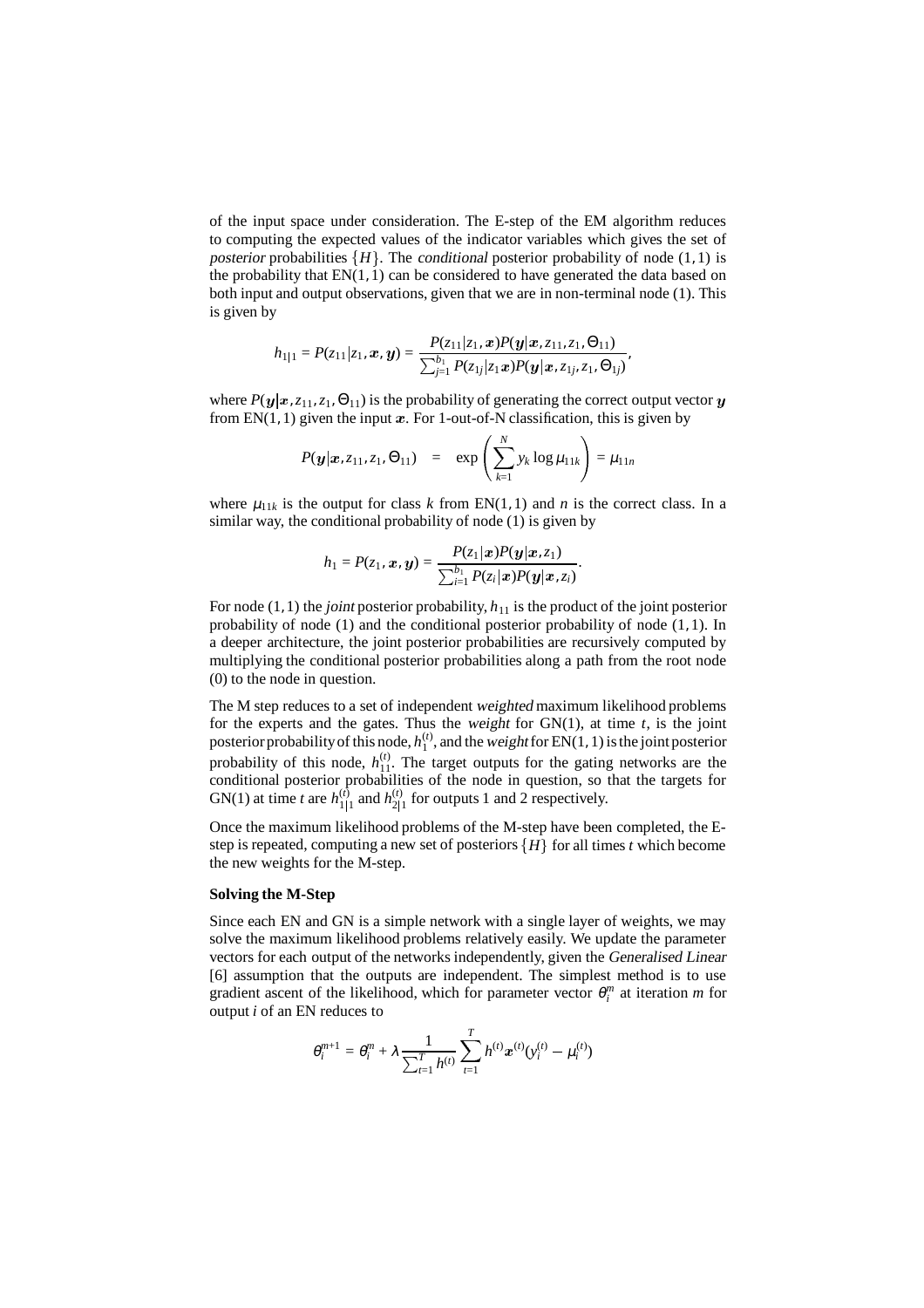of the input space under consideration. The E-step of the EM algorithm reduces to computing the expected values of the indicator variables which gives the set of posterior probabilities  $\{H\}$ . The conditional posterior probability of node  $(1, 1)$  is the probability that  $EN(1, 1)$  can be considered to have generated the data based on both input and output observations, given that we are in non-terminal node (1). This is given by

$$
h_{1|1} = P(z_{11}|z_1, x, y) = \frac{P(z_{11}|z_1, x)P(y|x, z_{11}, z_1, \Theta_{11})}{\sum_{j=1}^{b_1} P(z_{1j}|z_1 x)P(y|x, z_{1j}, z_1, \Theta_{1j})},
$$

where  $P(y | x, z_{11}, z_1, \Theta_{11})$  is the probability of generating the correct output vector y from  $EN(1, 1)$  given the input x. For 1-out-of-N classification, this is given by

$$
P(\mathbf{y}|\mathbf{x}, z_{11}, z_1, \Theta_{11}) = \exp\left(\sum_{k=1}^N y_k \log \mu_{11k}\right) = \mu_{11n}
$$

where  $\mu_{11k}$  is the output for class *k* from EN(1, 1) and *n* is the correct class. In a similar way, the conditional probability of node (1) is given by

$$
h_1 = P(z_1, \boldsymbol{x}, \boldsymbol{y}) = \frac{P(z_1 | \boldsymbol{x}) P(\boldsymbol{y} | \boldsymbol{x}, z_1)}{\sum_{i=1}^{b_1} P(z_i | \boldsymbol{x}) P(\boldsymbol{y} | \boldsymbol{x}, z_i)}.
$$

For node  $(1, 1)$  the *joint* posterior probability,  $h_{11}$  is the product of the joint posterior probability of node (1) and the conditional posterior probability of node (1, 1). In a deeper architecture, the joint posterior probabilities are recursively computed by multiplying the conditional posterior probabilities along a path from the root node (0) to the node in question.

The M step reduces to a set of independent weighted maximum likelihood problems for the experts and the gates. Thus the weight for  $GN(1)$ , at time  $t$ , is the joint posterior probability of this node,  $h_1^{(t)}$ , and the weight for EN(1, 1) is the joint posterior posterior probability of this node,  $h_{11}^{\prime\prime}$ . The target outputs for the gating networks are the probability of this node,  $h_{11}^{\prime\prime}$ . The target outputs for the gating networks are the conditional posterior probabilities of the node in question, so that the targets for  $GW(1)$  at time term  $h^{(t)}$  and  $h^{(t)}$  for outputs 1 and 2 repressively. GN(1) at time *t* are  $h_{1|1}^{(t)}$  and  $h_{2|1}^{(t)}$  for outputs 1 and 2 respectively.

Once the maximum likelihood problems of the M-step have been completed, the Estep is repeated, computing a new set of posteriors  $\{H\}$  for all times *t* which become the new weights for the M-step.

#### **Solving the M-Step**

Since each EN and GN is a simple network with a single layer of weights, we may solve the maximum likelihood problems relatively easily. We update the parameter vectors for each output of the networks independently, given the Generalised Linear [6] assumption that the outputs are independent. The simplest method is to use gradient ascent of the likelihood, which for parameter vector  $\theta_i^m$  at iteration *m* for output *i* of an EN reduces to

$$
\theta_i^{m+1} = \theta_i^m + \lambda \frac{1}{\sum_{t=1}^T h^{(t)}} \sum_{t=1}^T h^{(t)} \boldsymbol{x}^{(t)} (\textbf{y}_i^{(t)} - \mu_i^{(t)})
$$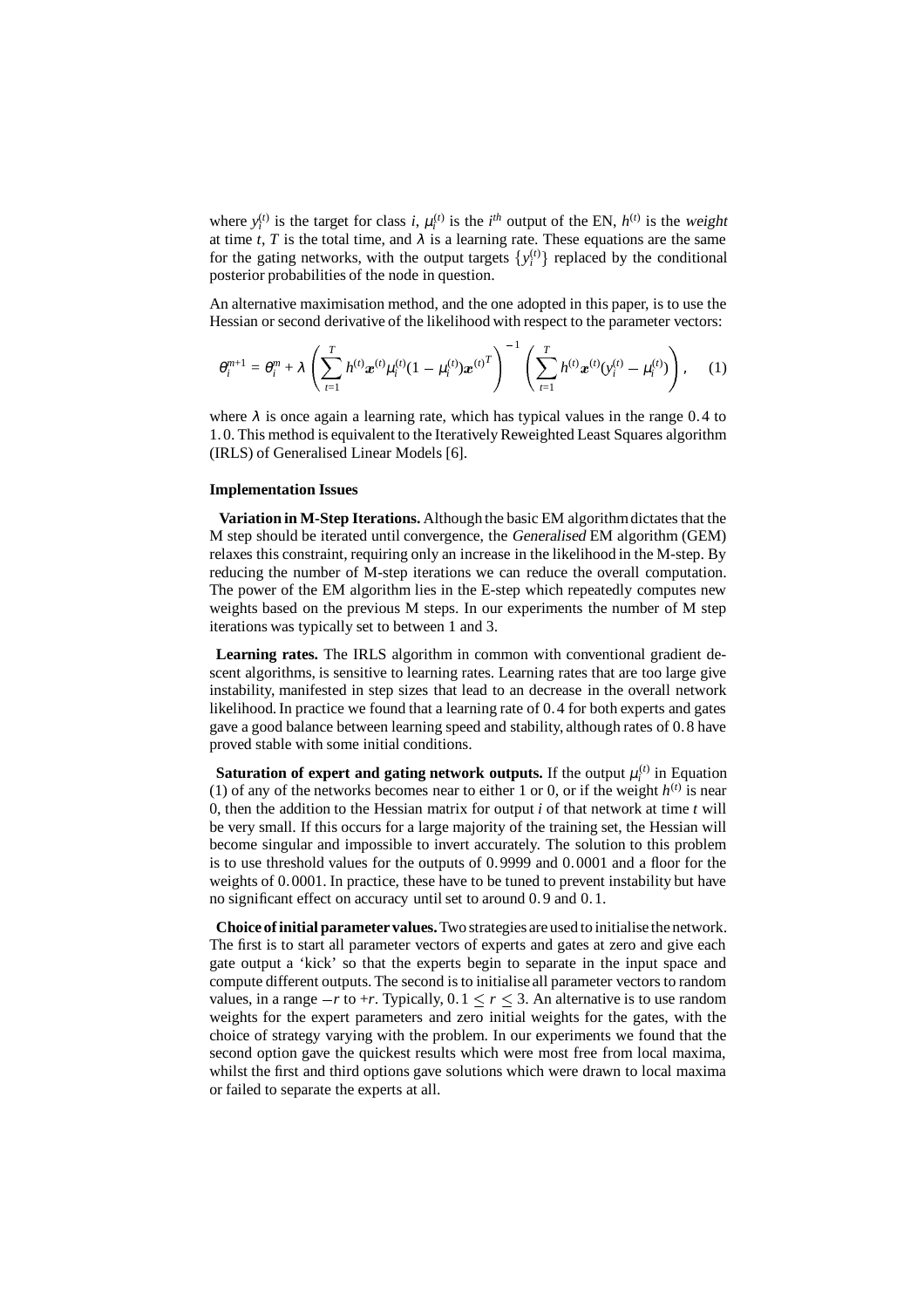where  $y_i^{(t)}$  is the target for class *i*,  $\mu_i^{(t)}$  is the *i*<sup>th</sup> output of the EN,  $h^{(t)}$  is the weight at time *t*, *T* is the total time, and  $\lambda$  is a learning rate. These equations are the same for the gating networks, with the output targets  $\{y_i^{(t)}\}$  replaced by the conditional posterior probabilities of the node in question.

An alternative maximisation method, and the one adopted in this paper, is to use the Hessian or second derivative of the likelihood with respect to the parameter vectors:

$$
\theta_i^{m+1} = \theta_i^m + \lambda \left( \sum_{t=1}^T h^{(t)} \boldsymbol{x}^{(t)} \mu_i^{(t)} (1 - \mu_i^{(t)}) \boldsymbol{x}^{(t)} \right)^{-1} \left( \sum_{t=1}^T h^{(t)} \boldsymbol{x}^{(t)} (\boldsymbol{y}_i^{(t)} - \mu_i^{(t)}) \right), \quad (1)
$$

where  $\lambda$  is once again a learning rate, which has typical values in the range 0.4 to 1. 0. This method is equivalent to the Iteratively Reweighted Least Squares algorithm (IRLS) of Generalised Linear Models [6].

#### **Implementation Issues**

**Variation in M-Step Iterations.** Although the basic EM algorithmdictates that the M step should be iterated until convergence, the Generalised EM algorithm (GEM) relaxes this constraint, requiring only an increase in the likelihood in the M-step. By reducing the number of M-step iterations we can reduce the overall computation. The power of the EM algorithm lies in the E-step which repeatedly computes new weights based on the previous M steps. In our experiments the number of M step iterations was typically set to between 1 and 3.

**Learning rates.** The IRLS algorithm in common with conventional gradient descent algorithms, is sensitive to learning rates. Learning rates that are too large give instability, manifested in step sizes that lead to an decrease in the overall network likelihood. In practice we found that a learning rate of 0. 4 for both experts and gates gave a good balance between learning speed and stability, although rates of 0. 8 have proved stable with some initial conditions.

**Saturation of expert and gating network outputs.** If the output  $\mu_i^{(t)}$  in Equation (1) of any of the networks becomes near to either 1 or 0, or if the weight  $h^{(t)}$  is near 0, then the addition to the Hessian matrix for output *i* of that network at time *t* will be very small. If this occurs for a large majority of the training set, the Hessian will become singular and impossible to invert accurately. The solution to this problem is to use threshold values for the outputs of 0. 9999 and 0. 0001 and a floor for the weights of 0. 0001. In practice, these have to be tuned to prevent instability but have no significant effect on accuracy until set to around 0. 9 and 0. 1.

**Choice ofinitial parameter values.**Two strategies are used to initialise the network. The first is to start all parameter vectors of experts and gates at zero and give each gate output a 'kick' so that the experts begin to separate in the input space and compute different outputs. The second is to initialise all parameter vectors to random values, in a range  $-r$  to  $+r$ . Typically,  $0.1 \le r \le 3$ . An alternative is to use random weights for the expert parameters and zero initial weights for the gates, with the choice of strategy varying with the problem. In our experiments we found that the second option gave the quickest results which were most free from local maxima, whilst the first and third options gave solutions which were drawn to local maxima or failed to separate the experts at all.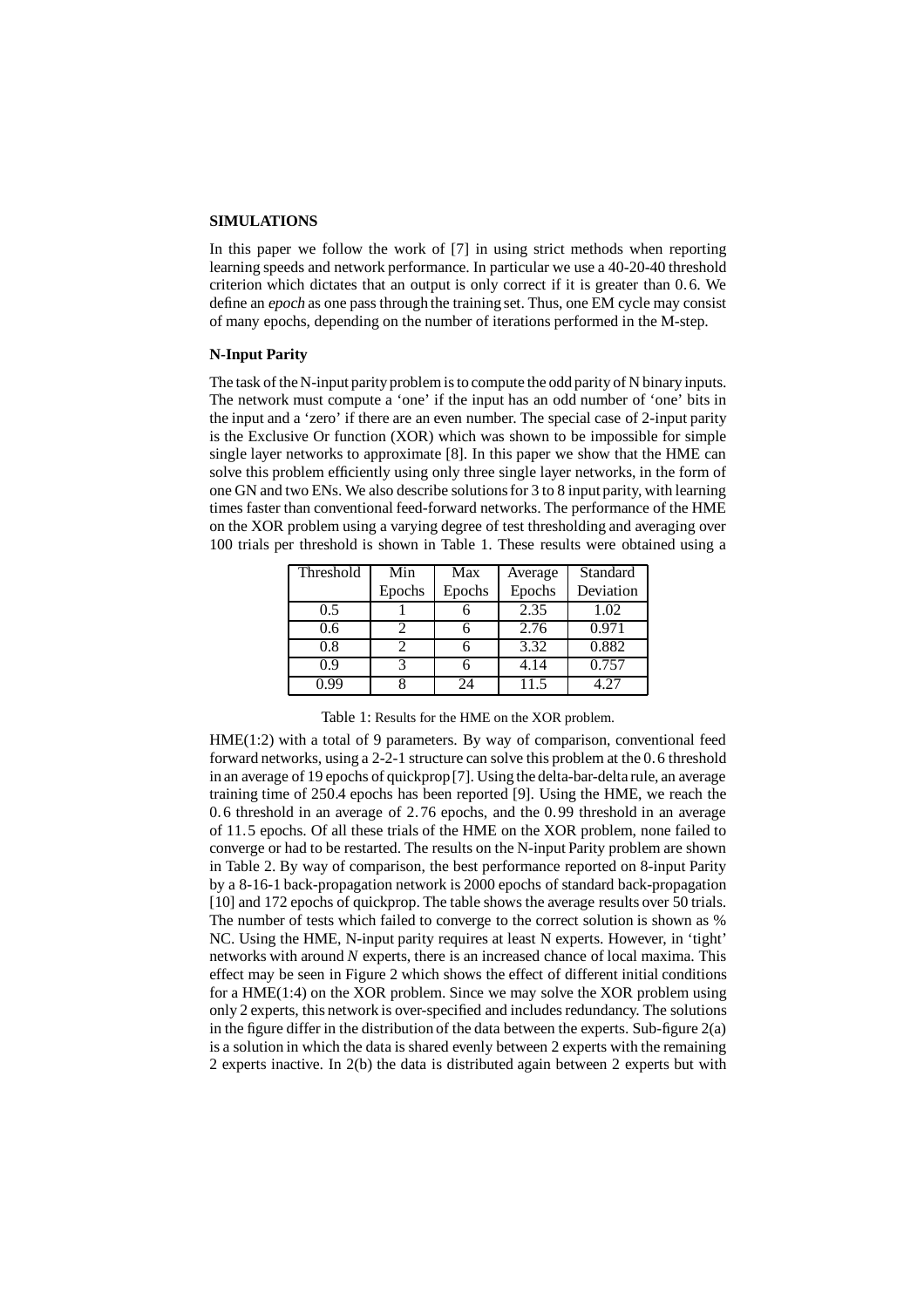#### **SIMULATIONS**

In this paper we follow the work of [7] in using strict methods when reporting learning speeds and network performance. In particular we use a 40-20-40 threshold criterion which dictates that an output is only correct if it is greater than 0. 6. We define an epoch as one pass through the training set. Thus, one EM cycle may consist of many epochs, depending on the number of iterations performed in the M-step.

## **N-Input Parity**

The task of the N-input parity problem is to compute the odd parity of N binary inputs. The network must compute a 'one' if the input has an odd number of 'one' bits in the input and a 'zero' if there are an even number. The special case of 2-input parity is the Exclusive Or function (XOR) which was shown to be impossible for simple single layer networks to approximate [8]. In this paper we show that the HME can solve this problem efficiently using only three single layer networks, in the form of one GN and two ENs. We also describe solutionsfor 3 to 8 input parity, with learning times faster than conventional feed-forward networks. The performance of the HME on the XOR problem using a varying degree of test thresholding and averaging over 100 trials per threshold is shown in Table 1. These results were obtained using a

| Threshold | Min    | Max    | Average | Standard  |
|-----------|--------|--------|---------|-----------|
|           | Epochs | Epochs | Epochs  | Deviation |
| 0.5       |        |        | 2.35    | 1.02      |
| 0.6       |        |        | 2.76    | 0.971     |
| 0.8       |        |        | 3.32    | 0.882     |
| 09        |        |        | 4.14    | 0.757     |
| N 99      |        | 24     | 11.5    | 4 27      |

| Table 1: Results for the HME on the XOR problem. |  |  |
|--------------------------------------------------|--|--|
|--------------------------------------------------|--|--|

HME(1:2) with a total of 9 parameters. By way of comparison, conventional feed forward networks, using a 2-2-1 structure can solve this problem at the 0. 6 threshold in an average of 19 epochs of quickprop[7]. Using the delta-bar-delta rule, an average training time of 250.4 epochs has been reported [9]. Using the HME, we reach the 0. 6 threshold in an average of 2. 76 epochs, and the 0. 99 threshold in an average of 11. 5 epochs. Of all these trials of the HME on the XOR problem, none failed to converge or had to be restarted. The results on the N-input Parity problem are shown in Table 2. By way of comparison, the best performance reported on 8-input Parity by a 8-16-1 back-propagation network is 2000 epochs of standard back-propagation [10] and 172 epochs of quickprop. The table shows the average results over 50 trials. The number of tests which failed to converge to the correct solution is shown as % NC. Using the HME, N-input parity requires at least N experts. However, in 'tight' networks with around *N* experts, there is an increased chance of local maxima. This effect may be seen in Figure 2 which shows the effect of different initial conditions for a HME(1:4) on the XOR problem. Since we may solve the XOR problem using only 2 experts, this network is over-specified and includes redundancy. The solutions in the figure differ in the distribution of the data between the experts. Sub-figure  $2(a)$ is a solution in which the data is shared evenly between 2 experts with the remaining 2 experts inactive. In 2(b) the data is distributed again between 2 experts but with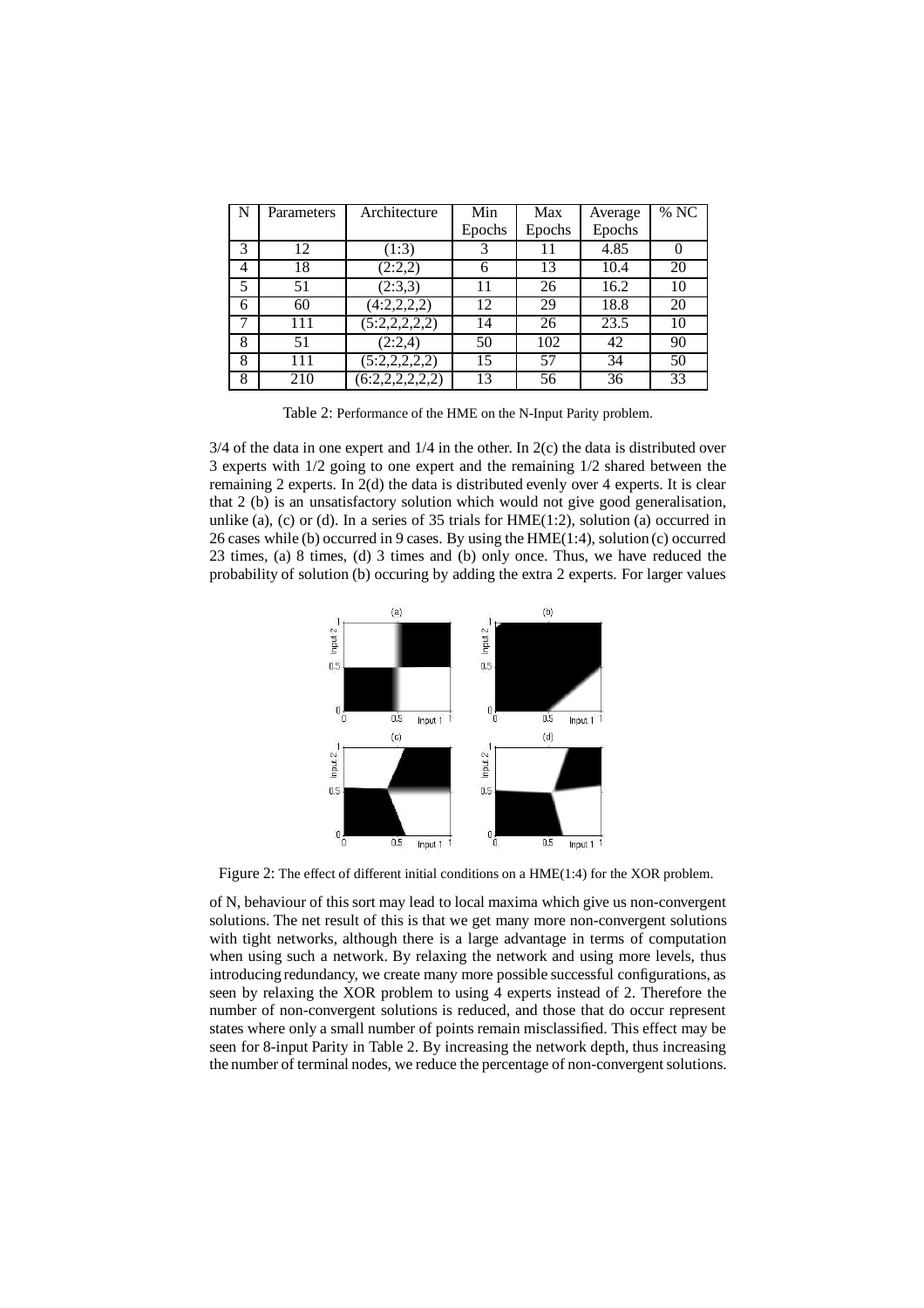| $\mathbf N$ | Parameters | Architecture    | Min    | Max    | Average | $\sqrt[9]{\text{NC}}$ |
|-------------|------------|-----------------|--------|--------|---------|-----------------------|
|             |            |                 | Epochs | Epochs | Epochs  |                       |
| 3           | 12         | (1:3)           |        |        | 4.85    |                       |
| 4           | 18         | (2:2,2)         | 6      | 13     | 10.4    | 20                    |
| 5           | 51         | (2:3,3)         | 11     | 26     | 16.2    | 10                    |
| 6           | 60         | (4:2,2,2,2)     | 12     | 29     | 18.8    | 20                    |
| 7           | 111        | (5:2,2,2,2,2)   | 14     | 26     | 23.5    | 10                    |
| 8           | 51         | (2:2,4)         | 50     | 102    | 42      | 90                    |
| 8           | 111        | (5:2,2,2,2,2)   | 15     | 57     | 34      | 50                    |
| 8           | 210        | (6:2,2,2,2,2,2) | 13     | 56     | 36      | $\overline{33}$       |

Table 2: Performance of the HME on the N-Input Parity problem.

 $3/4$  of the data in one expert and  $1/4$  in the other. In  $2(c)$  the data is distributed over 3 experts with 1/2 going to one expert and the remaining 1/2 shared between the remaining 2 experts. In 2(d) the data is distributed evenly over 4 experts. It is clear that 2 (b) is an unsatisfactory solution which would not give good generalisation, unlike (a), (c) or (d). In a series of 35 trials for  $HME(1:2)$ , solution (a) occurred in 26 cases while (b) occurred in 9 cases. By using the HME(1:4), solution (c) occurred 23 times, (a) 8 times, (d) 3 times and (b) only once. Thus, we have reduced the probability of solution (b) occuring by adding the extra 2 experts. For larger values



Figure 2: The effect of different initial conditions on a HME(1:4) for the XOR problem.

of N, behaviour of this sort may lead to local maxima which give us non-convergent solutions. The net result of this is that we get many more non-convergent solutions with tight networks, although there is a large advantage in terms of computation when using such a network. By relaxing the network and using more levels, thus introducing redundancy, we create many more possible successful configurations, as seen by relaxing the XOR problem to using 4 experts instead of 2. Therefore the number of non-convergent solutions is reduced, and those that do occur represent states where only a small number of points remain misclassified. This effect may be seen for 8-input Parity in Table 2. By increasing the network depth, thus increasing the number of terminal nodes, we reduce the percentage of non-convergent solutions.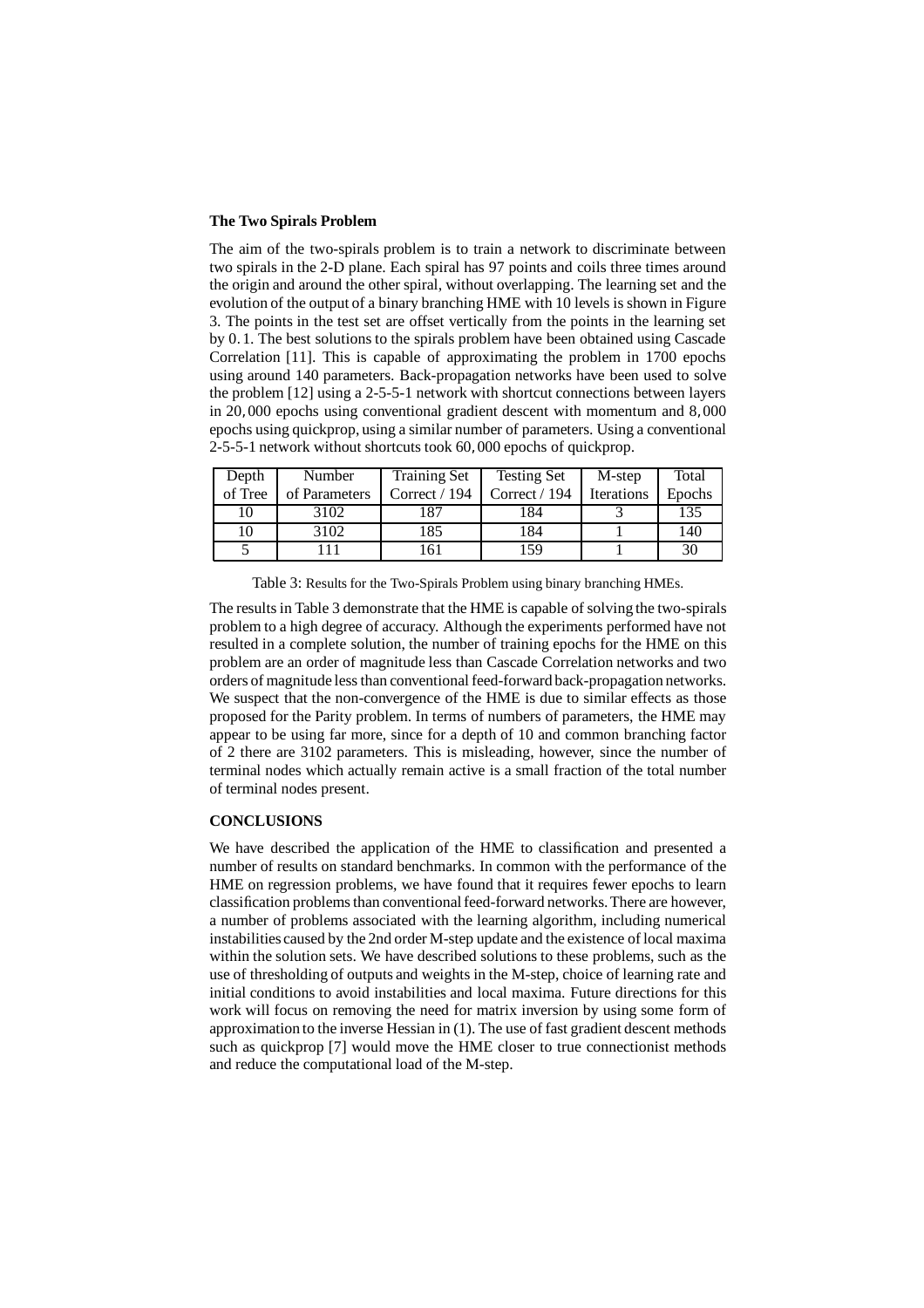#### **The Two Spirals Problem**

The aim of the two-spirals problem is to train a network to discriminate between two spirals in the 2-D plane. Each spiral has 97 points and coils three times around the origin and around the other spiral, without overlapping. The learning set and the evolution of the output of a binary branching HME with 10 levels is shown in Figure 3. The points in the test set are offset vertically from the points in the learning set by 0. 1. The best solutions to the spirals problem have been obtained using Cascade Correlation [11]. This is capable of approximating the problem in 1700 epochs using around 140 parameters. Back-propagation networks have been used to solve the problem [12] using a 2-5-5-1 network with shortcut connections between layers in 20, 000 epochs using conventional gradient descent with momentum and 8, 000 epochs using quickprop, using a similar number of parameters. Using a conventional 2-5-5-1 network without shortcuts took 60, 000 epochs of quickprop.

| Depth   | Number        | <b>Training Set</b> | <b>Testing Set</b> | M-step            | Total  |
|---------|---------------|---------------------|--------------------|-------------------|--------|
| of Tree | of Parameters | Correct / 194       | Correct $/$ 194    | <b>Iterations</b> | Epochs |
| 10      | 3102          | 187                 | 184                |                   | 135    |
| 10      | 3102          | 185                 | 184                |                   | 140    |
|         |               | 61                  | 159                |                   | 30     |

Table 3: Results for the Two-Spirals Problem using binary branching HMEs.

The results in Table 3 demonstrate that the HME is capable of solving the two-spirals problem to a high degree of accuracy. Although the experiments performed have not resulted in a complete solution, the number of training epochs for the HME on this problem are an order of magnitude less than Cascade Correlation networks and two orders of magnitude less than conventional feed-forward back-propagation networks. We suspect that the non-convergence of the HME is due to similar effects as those proposed for the Parity problem. In terms of numbers of parameters, the HME may appear to be using far more, since for a depth of 10 and common branching factor of 2 there are 3102 parameters. This is misleading, however, since the number of terminal nodes which actually remain active is a small fraction of the total number of terminal nodes present.

### **CONCLUSIONS**

We have described the application of the HME to classification and presented a number of results on standard benchmarks. In common with the performance of the HME on regression problems, we have found that it requires fewer epochs to learn classification problems than conventional feed-forward networks. There are however, a number of problems associated with the learning algorithm, including numerical instabilities caused by the 2nd order M-step update and the existence of local maxima within the solution sets. We have described solutions to these problems, such as the use of thresholding of outputs and weights in the M-step, choice of learning rate and initial conditions to avoid instabilities and local maxima. Future directions for this work will focus on removing the need for matrix inversion by using some form of approximation to the inverse Hessian in (1). The use of fast gradient descent methods such as quickprop [7] would move the HME closer to true connectionist methods and reduce the computational load of the M-step.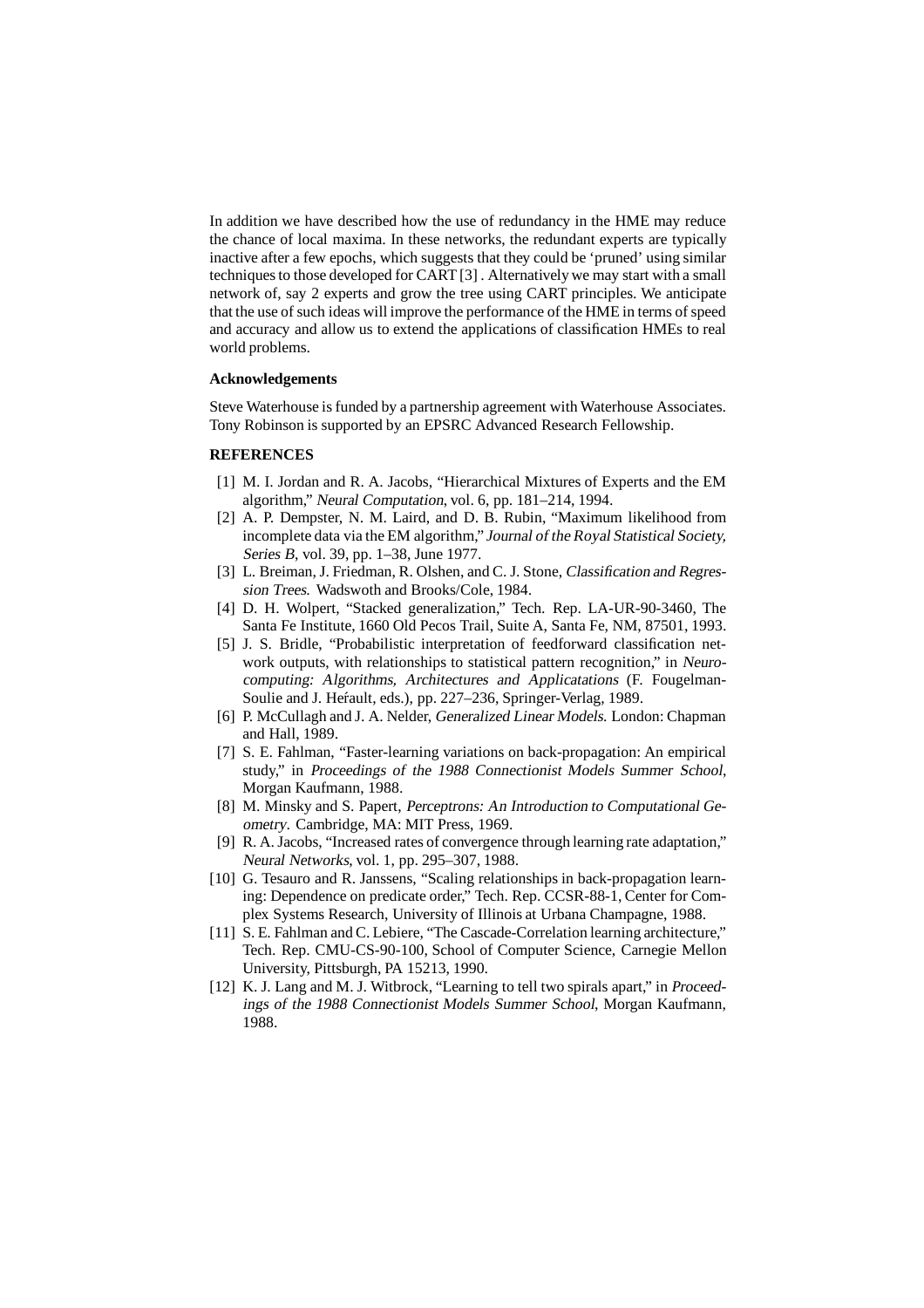In addition we have described how the use of redundancy in the HME may reduce the chance of local maxima. In these networks, the redundant experts are typically inactive after a few epochs, which suggests that they could be 'pruned' using similar techniques to those developed for CART [3]. Alternatively we may start with a small network of, say 2 experts and grow the tree using CART principles. We anticipate that the use of such ideas will improve the performance of the HME in terms of speed and accuracy and allow us to extend the applications of classification HMEs to real world problems.

#### **Acknowledgements**

Steve Waterhouse is funded by a partnership agreement with Waterhouse Associates. Tony Robinson is supported by an EPSRC Advanced Research Fellowship.

#### **REFERENCES**

- [1] M. I. Jordan and R. A. Jacobs, "Hierarchical Mixtures of Experts and the EM algorithm," Neural Computation, vol. 6, pp. 181–214, 1994.
- [2] A. P. Dempster, N. M. Laird, and D. B. Rubin, "Maximum likelihood from incomplete data via the EM algorithm," Journal of the Royal Statistical Society, Series <sup>B</sup>, vol. 39, pp. 1–38, June 1977.
- [3] L. Breiman, J. Friedman, R. Olshen, and C. J. Stone, Classification and Regression Trees. Wadswoth and Brooks/Cole, 1984.
- [4] D. H. Wolpert, "Stacked generalization," Tech. Rep. LA-UR-90-3460, The Santa Fe Institute, 1660 Old Pecos Trail, Suite A, Santa Fe, NM, 87501, 1993.
- [5] J. S. Bridle, "Probabilistic interpretation of feedforward classification network outputs, with relationships to statistical pattern recognition," in Neurocomputing: Algorithms, Architectures and Applicatations (F. Fougelman-Soulie and J. Her<sup>f</sup>ault, eds.), pp. 227–236, Springer-Verlag, 1989.
- [6] P. McCullagh and J. A. Nelder, Generalized Linear Models. London: Chapman and Hall, 1989.
- [7] S. E. Fahlman, "Faster-learning variations on back-propagation: An empirical study," in Proceedings of the <sup>1988</sup> Connectionist Models Summer School, Morgan Kaufmann, 1988.
- [8] M. Minsky and S. Papert, Perceptrons: An Introduction to Computational Geometry. Cambridge, MA: MIT Press, 1969.
- [9] R. A. Jacobs, "Increased rates of convergence through learning rate adaptation," Neural Networks, vol. 1, pp. 295–307, 1988.
- [10] G. Tesauro and R. Janssens, "Scaling relationships in back-propagation learning: Dependence on predicate order," Tech. Rep. CCSR-88-1, Center for Complex Systems Research, University of Illinois at Urbana Champagne, 1988.
- [11] S. E. Fahlman and C. Lebiere, "The Cascade-Correlation learning architecture," Tech. Rep. CMU-CS-90-100, School of Computer Science, Carnegie Mellon University, Pittsburgh, PA 15213, 1990.
- [12] K. J. Lang and M. J. Witbrock, "Learning to tell two spirals apart," in Proceedings of the <sup>1988</sup> Connectionist Models Summer School, Morgan Kaufmann, 1988.